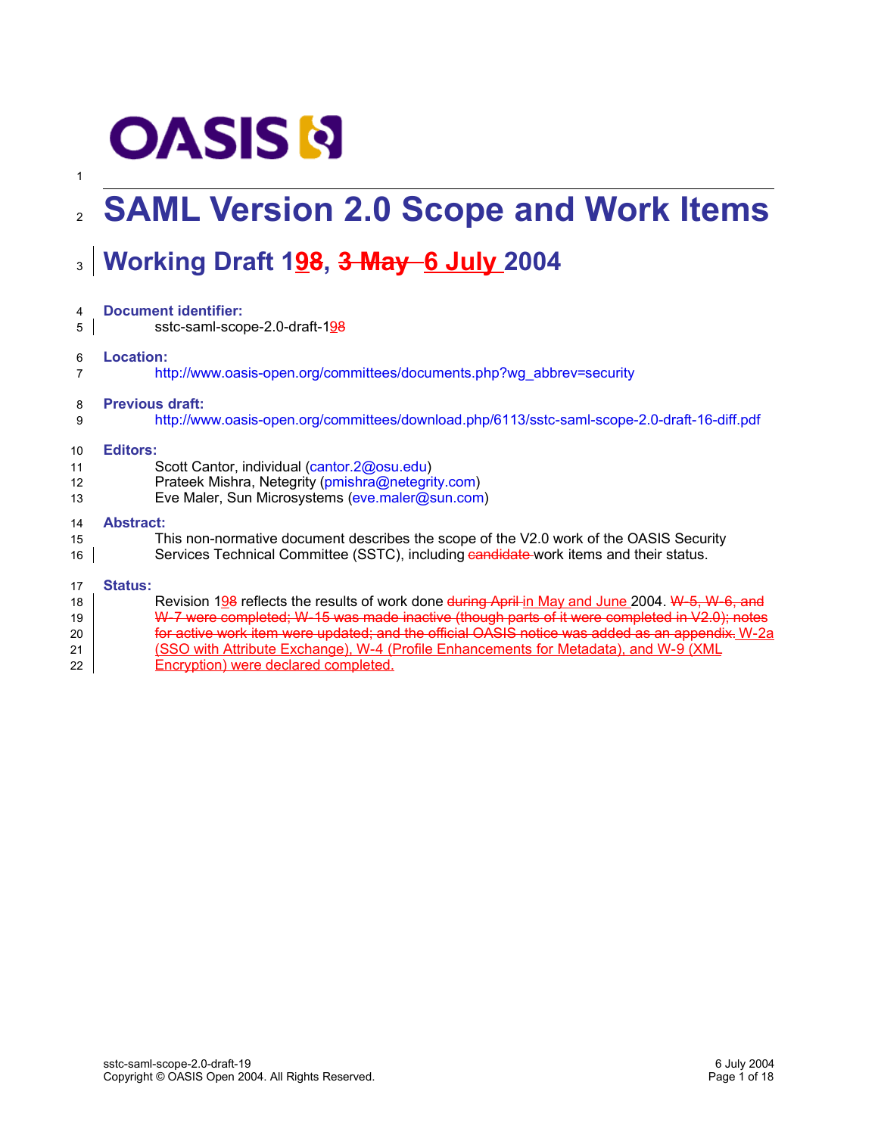# **OASIS N**

1

### **SAML Version 2.0 Scope and Work Items** 2

## **Working Draft 198, 3 May 6 July 2004** 3

| 4  | <b>Document identifier:</b>                                                                     |
|----|-------------------------------------------------------------------------------------------------|
| 5  | sstc-saml-scope-2.0-draft-198                                                                   |
| 6  | <b>Location:</b><br>http://www.oasis-open.org/committees/documents.php?wg_abbrev=security       |
| 8  | <b>Previous draft:</b>                                                                          |
| 9  | http://www.oasis-open.org/committees/download.php/6113/sstc-saml-scope-2.0-draft-16-diff.pdf    |
| 10 | Editors:                                                                                        |
| 11 | Scott Cantor, individual (cantor.2@osu.edu)                                                     |
| 12 | Prateek Mishra, Netegrity (pmishra@netegrity.com)                                               |
| 13 | Eve Maler, Sun Microsystems (eve.maler@sun.com)                                                 |
| 14 | <b>Abstract:</b>                                                                                |
| 15 | This non-normative document describes the scope of the V2.0 work of the OASIS Security          |
| 16 | Services Technical Committee (SSTC), including eandidate-work items and their status.           |
| 17 | <b>Status:</b>                                                                                  |
| 18 | Revision 198 reflects the results of work done during April in May and June 2004. W-5, W-6, and |
| 19 | W-7 were completed; W-15 was made inactive (though parts of it were completed in V2.0); notes   |
| 20 | for active work item were updated; and the official OASIS notice was added as an appendix. W-2a |
| 21 | (SSO with Attribute Exchange), W-4 (Profile Enhancements for Metadata), and W-9 (XML            |

Encryption) were declared completed.  $22$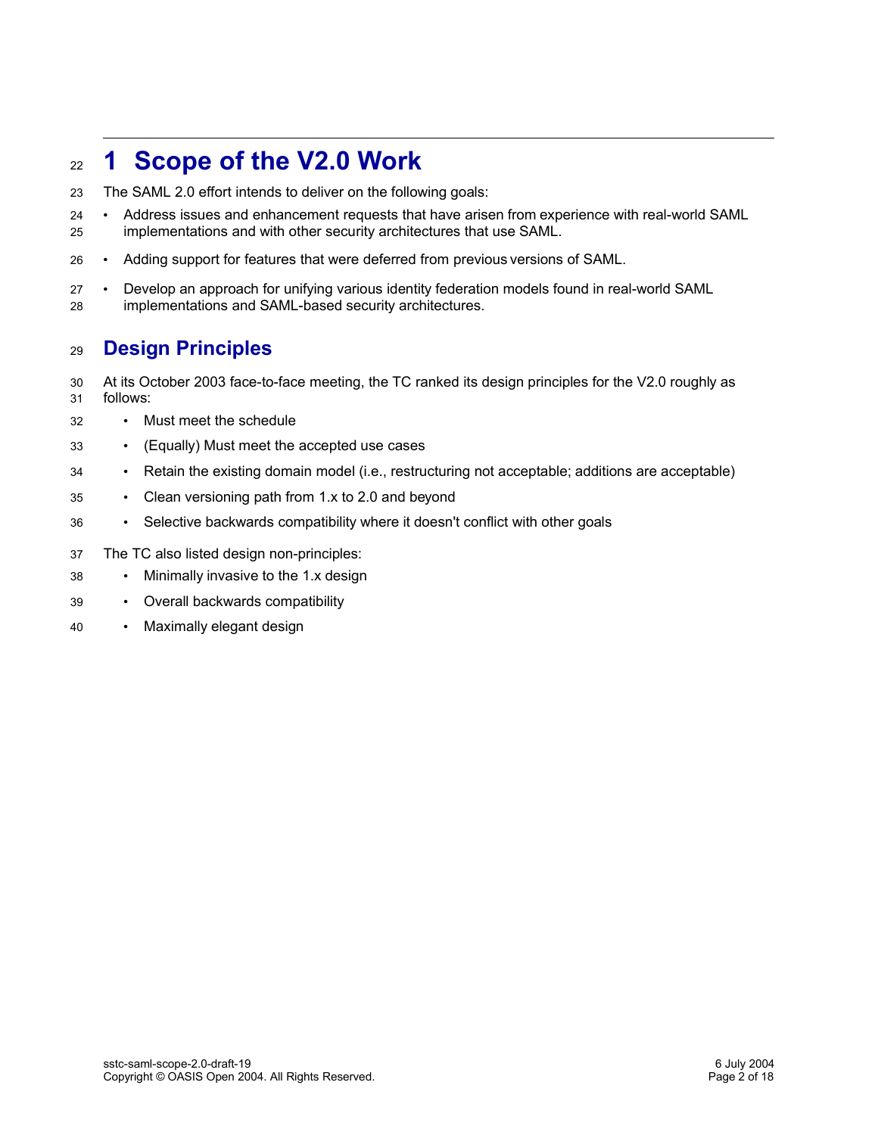#### **1 Scope of the V2.0 Work** 22

- The SAML 2.0 effort intends to deliver on the following goals: 23
- Address issues and enhancement requests that have arisen from experience with real-world SAML implementations and with other security architectures that use SAML. 24 25
- Adding support for features that were deferred from previous versions of SAML. 26
- Develop an approach for unifying various identity federation models found in real-world SAML implementations and SAML-based security architectures. 27 28

#### **Design Principles** 29

- At its October 2003 face-to-face meeting, the TC ranked its design principles for the V2.0 roughly as follows: 30 31
- Must meet the schedule 32
- (Equally) Must meet the accepted use cases 33
- Retain the existing domain model (i.e., restructuring not acceptable; additions are acceptable) 34
- Clean versioning path from 1.x to 2.0 and beyond 35
- Selective backwards compatibility where it doesn't conflict with other goals 36
- The TC also listed design non-principles: 37
- Minimally invasive to the 1.x design 38
- Overall backwards compatibility 39
- Maximally elegant design 40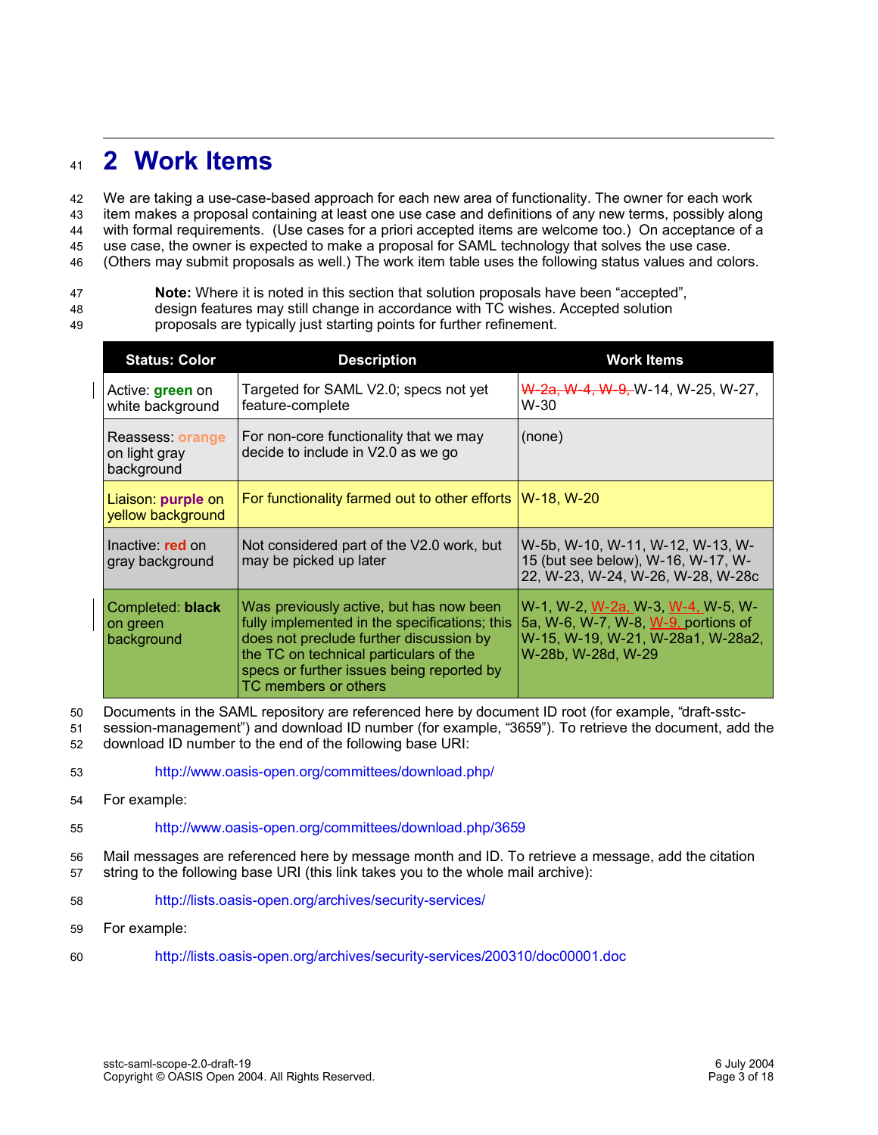#### **2 Work Items**  $\overline{41}$

We are taking a use-case-based approach for each new area of functionality. The owner for each work item makes a proposal containing at least one use case and definitions of any new terms, possibly along with formal requirements. (Use cases for a priori accepted items are welcome too.) On acceptance of a use case, the owner is expected to make a proposal for SAML technology that solves the use case. (Others may submit proposals as well.) The work item table uses the following status values and colors. 42 43 44 45 46

**Note:** Where it is noted in this section that solution proposals have been "accepted", 47

- design features may still change in accordance with TC wishes. Accepted solution 48
- proposals are typically just starting points for further refinement. 49

| <b>Status: Color</b>                            | <b>Description</b>                                                                                                                                                                                                                                 | <b>Work Items</b>                                                                                                                   |
|-------------------------------------------------|----------------------------------------------------------------------------------------------------------------------------------------------------------------------------------------------------------------------------------------------------|-------------------------------------------------------------------------------------------------------------------------------------|
| Active: green on<br>white background            | Targeted for SAML V2.0; specs not yet<br>feature-complete                                                                                                                                                                                          | <del>W-2a, W-4, W-9, </del> W-14, W-25, W-27,<br>$W-30$                                                                             |
| Reassess: orange<br>on light gray<br>background | For non-core functionality that we may<br>decide to include in V2.0 as we go                                                                                                                                                                       | (none)                                                                                                                              |
| Liaison: purple on<br>yellow background         | For functionality farmed out to other efforts                                                                                                                                                                                                      | W-18, W-20                                                                                                                          |
| Inactive: red on<br>gray background             | Not considered part of the V2.0 work, but<br>may be picked up later                                                                                                                                                                                | W-5b, W-10, W-11, W-12, W-13, W-<br>15 (but see below), W-16, W-17, W-<br>22, W-23, W-24, W-26, W-28, W-28c                         |
| Completed: black<br>on green<br>background      | Was previously active, but has now been<br>fully implemented in the specifications; this<br>does not preclude further discussion by<br>the TC on technical particulars of the<br>specs or further issues being reported by<br>TC members or others | W-1, W-2, W-2a, W-3, W-4, W-5, W-<br>5a, W-6, W-7, W-8, W-9, portions of<br>W-15, W-19, W-21, W-28a1, W-28a2,<br>W-28b, W-28d, W-29 |

Documents in the SAML repository are referenced here by document ID root (for example, "draft-sstc-50

- session-management") and download ID number (for example, "3659"). To retrieve the document, add the download ID number to the end of the following base URI: 51 52
- http://www.oasis-open.org/committees/download.php/ 53
- For example: 54
- http://www.oasis-open.org/committees/download.php/3659 55
- Mail messages are referenced here by message month and ID. To retrieve a message, add the citation string to the following base URI (this link takes you to the whole mail archive): 56 57
- http://lists.oasis-open.org/archives/security-services/ 58
- For example: 59
- http://lists.oasis-open.org/archives/security-services/200310/doc00001.doc 60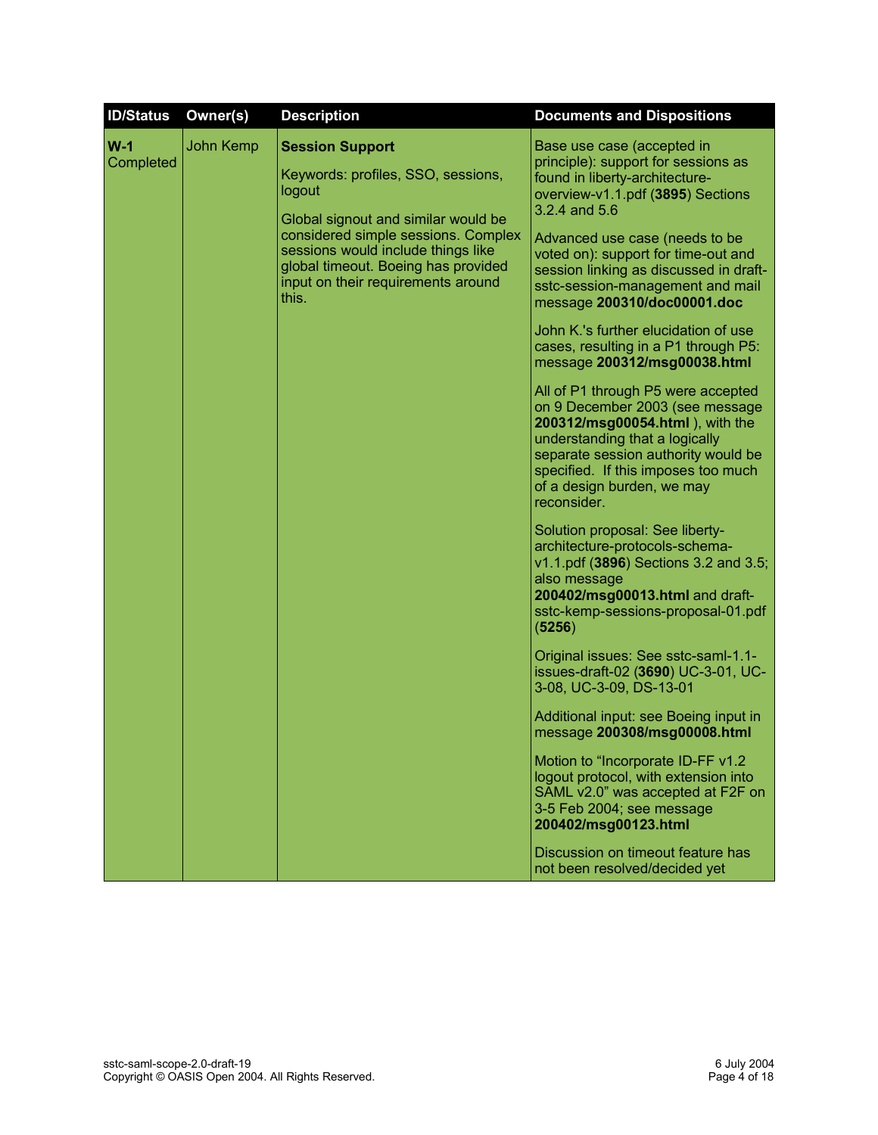| <b>ID/Status</b>   | Owner(s)  | <b>Description</b>                                                                                                                                                                                                                                                               | <b>Documents and Dispositions</b>                                                                                                                                                                                                                                                                                                               |
|--------------------|-----------|----------------------------------------------------------------------------------------------------------------------------------------------------------------------------------------------------------------------------------------------------------------------------------|-------------------------------------------------------------------------------------------------------------------------------------------------------------------------------------------------------------------------------------------------------------------------------------------------------------------------------------------------|
| $W-1$<br>Completed | John Kemp | <b>Session Support</b><br>Keywords: profiles, SSO, sessions,<br>logout<br>Global signout and similar would be<br>considered simple sessions. Complex<br>sessions would include things like<br>global timeout. Boeing has provided<br>input on their requirements around<br>this. | Base use case (accepted in<br>principle): support for sessions as<br>found in liberty-architecture-<br>overview-v1.1.pdf (3895) Sections<br>3.2.4 and 5.6<br>Advanced use case (needs to be<br>voted on): support for time-out and<br>session linking as discussed in draft-<br>sstc-session-management and mail<br>message 200310/doc00001.doc |
|                    |           |                                                                                                                                                                                                                                                                                  | John K.'s further elucidation of use<br>cases, resulting in a P1 through P5:<br>message 200312/msg00038.html                                                                                                                                                                                                                                    |
|                    |           |                                                                                                                                                                                                                                                                                  | All of P1 through P5 were accepted<br>on 9 December 2003 (see message<br>200312/msg00054.html), with the<br>understanding that a logically<br>separate session authority would be<br>specified. If this imposes too much<br>of a design burden, we may<br>reconsider.                                                                           |
|                    |           |                                                                                                                                                                                                                                                                                  | Solution proposal: See liberty-<br>architecture-protocols-schema-<br>v1.1.pdf (3896) Sections 3.2 and 3.5;<br>also message<br>200402/msg00013.html and draft-<br>sstc-kemp-sessions-proposal-01.pdf<br>(5256)                                                                                                                                   |
|                    |           |                                                                                                                                                                                                                                                                                  | Original issues: See sstc-saml-1.1-<br>issues-draft-02 (3690) UC-3-01, UC-<br>3-08, UC-3-09, DS-13-01                                                                                                                                                                                                                                           |
|                    |           |                                                                                                                                                                                                                                                                                  | Additional input: see Boeing input in<br>message 200308/msg00008.html                                                                                                                                                                                                                                                                           |
|                    |           |                                                                                                                                                                                                                                                                                  | Motion to "Incorporate ID-FF v1.2<br>logout protocol, with extension into<br>SAML v2.0" was accepted at F2F on<br>3-5 Feb 2004; see message<br>200402/msg00123.html                                                                                                                                                                             |
|                    |           |                                                                                                                                                                                                                                                                                  | Discussion on timeout feature has<br>not been resolved/decided yet                                                                                                                                                                                                                                                                              |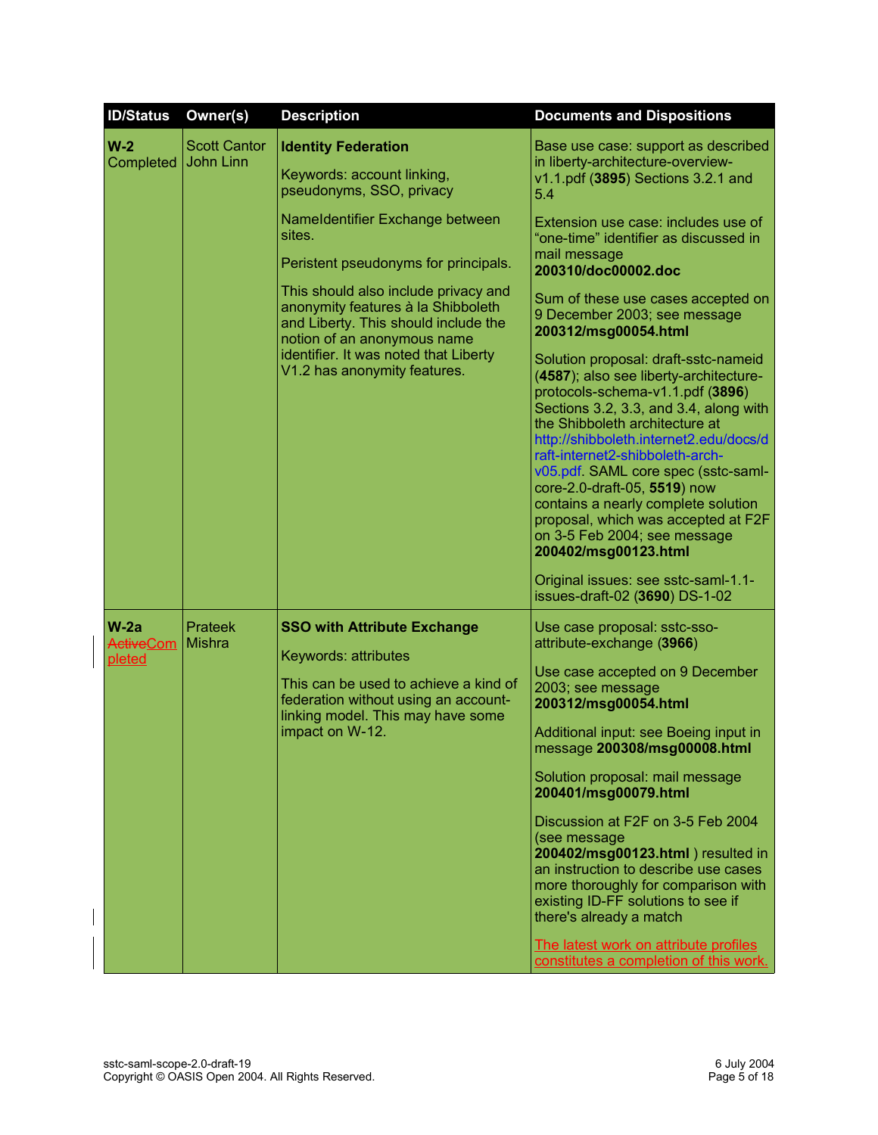| <b>ID/Status</b>                     | Owner(s)                         | <b>Description</b>                                                                                                                                                                                  | <b>Documents and Dispositions</b>                                                                                                                                                                                                                                                                                                                                                                                                                                                                                                                                                                           |
|--------------------------------------|----------------------------------|-----------------------------------------------------------------------------------------------------------------------------------------------------------------------------------------------------|-------------------------------------------------------------------------------------------------------------------------------------------------------------------------------------------------------------------------------------------------------------------------------------------------------------------------------------------------------------------------------------------------------------------------------------------------------------------------------------------------------------------------------------------------------------------------------------------------------------|
| $W-2$<br>Completed                   | <b>Scott Cantor</b><br>John Linn | <b>Identity Federation</b><br>Keywords: account linking,<br>pseudonyms, SSO, privacy                                                                                                                | Base use case: support as described<br>in liberty-architecture-overview-<br>v1.1.pdf (3895) Sections 3.2.1 and<br>5.4                                                                                                                                                                                                                                                                                                                                                                                                                                                                                       |
|                                      |                                  |                                                                                                                                                                                                     | Nameldentifier Exchange between<br>sites.<br>Peristent pseudonyms for principals.<br>This should also include privacy and<br>anonymity features à la Shibboleth                                                                                                                                                                                                                                                                                                                                                                                                                                             |
|                                      |                                  | and Liberty. This should include the<br>notion of an anonymous name<br>identifier. It was noted that Liberty<br>V1.2 has anonymity features.                                                        | 200312/msg00054.html<br>Solution proposal: draft-sstc-nameid<br>(4587); also see liberty-architecture-<br>protocols-schema-v1.1.pdf (3896)<br>Sections 3.2, 3.3, and 3.4, along with<br>the Shibboleth architecture at<br>http://shibboleth.internet2.edu/docs/d<br>raft-internet2-shibboleth-arch-<br>v05.pdf. SAML core spec (sstc-saml-<br>core-2.0-draft-05, 5519) now<br>contains a nearly complete solution<br>proposal, which was accepted at F2F<br>on 3-5 Feb 2004; see message<br>200402/msg00123.html<br>Original issues: see sstc-saml-1.1-<br>issues-draft-02 (3690) DS-1-02                   |
| $W-2a$<br><b>ActiveCom</b><br>pleted | <b>Prateek</b><br><b>Mishra</b>  | <b>SSO with Attribute Exchange</b><br>Keywords: attributes<br>This can be used to achieve a kind of<br>federation without using an account-<br>linking model. This may have some<br>impact on W-12. | Use case proposal: sstc-sso-<br>attribute-exchange (3966)<br>Use case accepted on 9 December<br>2003; see message<br>200312/msg00054.html<br>Additional input: see Boeing input in<br>message 200308/msg00008.html<br>Solution proposal: mail message<br>200401/msg00079.html<br>Discussion at F2F on 3-5 Feb 2004<br>(see message<br>200402/msg00123.html ) resulted in<br>an instruction to describe use cases<br>more thoroughly for comparison with<br>existing ID-FF solutions to see if<br>there's already a match<br>The latest work on attribute profiles<br>constitutes a completion of this work. |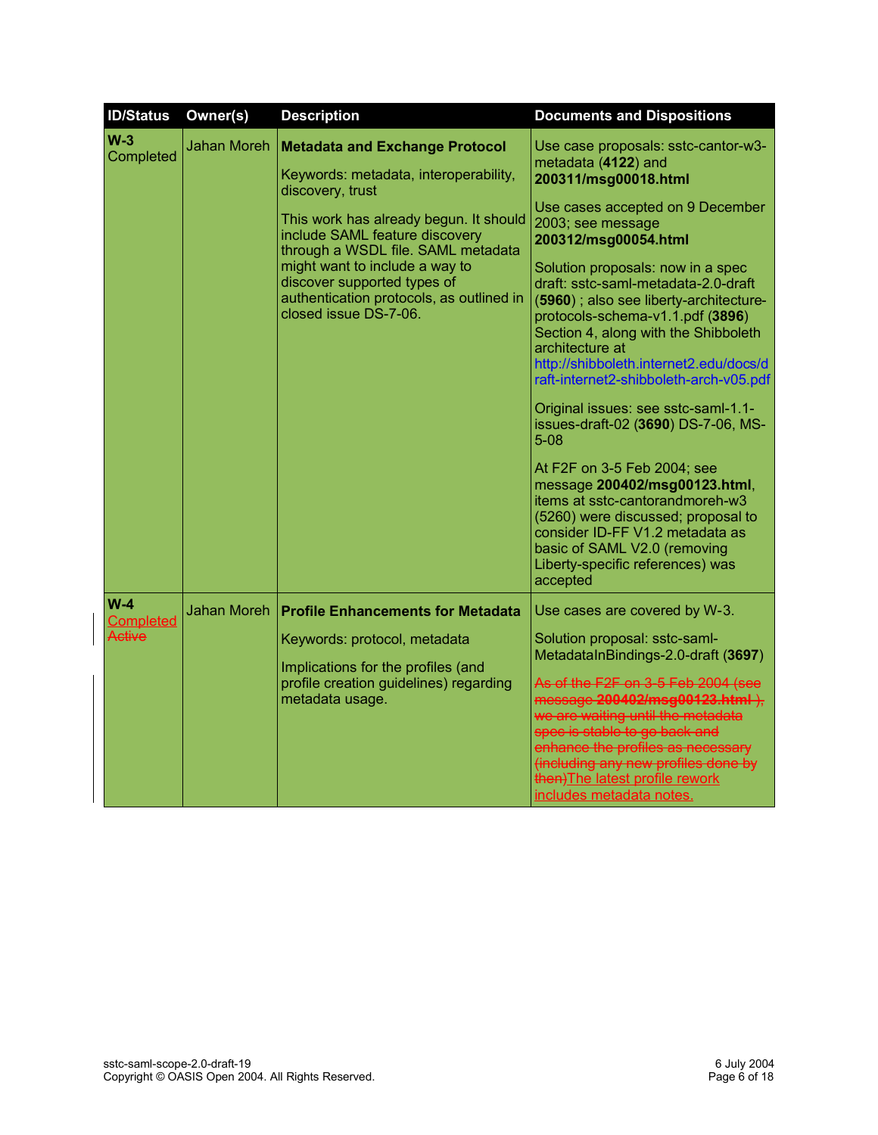| <b>ID/Status</b>                    | Owner(s)           | <b>Description</b>                                                                                                                                                                                                                                                                                                                                         | <b>Documents and Dispositions</b>                                                                                                                                                                                                                                                                                                                                                                                                                                                                                                                                                                                                                                                                                                                                                                                                  |
|-------------------------------------|--------------------|------------------------------------------------------------------------------------------------------------------------------------------------------------------------------------------------------------------------------------------------------------------------------------------------------------------------------------------------------------|------------------------------------------------------------------------------------------------------------------------------------------------------------------------------------------------------------------------------------------------------------------------------------------------------------------------------------------------------------------------------------------------------------------------------------------------------------------------------------------------------------------------------------------------------------------------------------------------------------------------------------------------------------------------------------------------------------------------------------------------------------------------------------------------------------------------------------|
| $W-3$<br>Completed                  | <b>Jahan Moreh</b> | <b>Metadata and Exchange Protocol</b><br>Keywords: metadata, interoperability,<br>discovery, trust<br>This work has already begun. It should<br>include SAML feature discovery<br>through a WSDL file. SAML metadata<br>might want to include a way to<br>discover supported types of<br>authentication protocols, as outlined in<br>closed issue DS-7-06. | Use case proposals: sstc-cantor-w3-<br>metadata (4122) and<br>200311/msg00018.html<br>Use cases accepted on 9 December<br>2003; see message<br>200312/msg00054.html<br>Solution proposals: now in a spec<br>draft: sstc-saml-metadata-2.0-draft<br>(5960); also see liberty-architecture-<br>protocols-schema-v1.1.pdf (3896)<br>Section 4, along with the Shibboleth<br>architecture at<br>http://shibboleth.internet2.edu/docs/d<br>raft-internet2-shibboleth-arch-v05.pdf<br>Original issues: see sstc-saml-1.1-<br>issues-draft-02 (3690) DS-7-06, MS-<br>$5 - 08$<br>At F2F on 3-5 Feb 2004; see<br>message 200402/msg00123.html,<br>items at sstc-cantorandmoreh-w3<br>(5260) were discussed; proposal to<br>consider ID-FF V1.2 metadata as<br>basic of SAML V2.0 (removing<br>Liberty-specific references) was<br>accepted |
| $W-4$<br><b>Completed</b><br>Active | <b>Jahan Moreh</b> | <b>Profile Enhancements for Metadata</b><br>Keywords: protocol, metadata<br>Implications for the profiles (and<br>profile creation guidelines) regarding<br>metadata usage.                                                                                                                                                                                | Use cases are covered by W-3.<br>Solution proposal: sstc-saml-<br>MetadataInBindings-2.0-draft (3697)<br>As of the F2F on 3-5 Feb 2004 (see<br>message 200402/msg00123.html ),<br>we are waiting until the metadata<br>spec is stable to go back and<br>enhance the profiles as necessary                                                                                                                                                                                                                                                                                                                                                                                                                                                                                                                                          |
|                                     |                    |                                                                                                                                                                                                                                                                                                                                                            | (including any new profiles done by<br>then) The latest profile rework<br>includes metadata notes.                                                                                                                                                                                                                                                                                                                                                                                                                                                                                                                                                                                                                                                                                                                                 |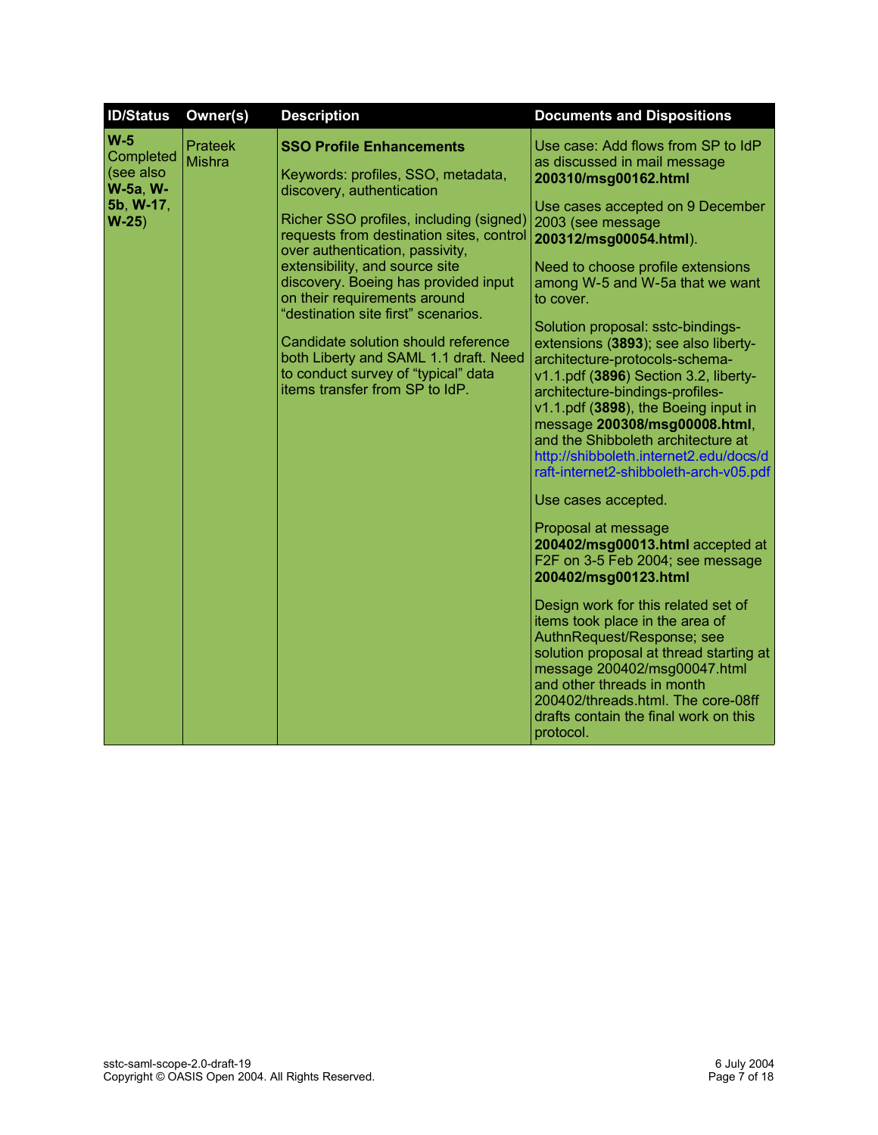| <b>ID/Status</b>                                                          | Owner(s)                        | <b>Description</b>                                                                                                                                                                                                                                                                                                                                                                                                                                                                                                                     | <b>Documents and Dispositions</b>                                                                                                                                                                                                                                                                                                                                                                                                                                                                                                                                                                                                                                |
|---------------------------------------------------------------------------|---------------------------------|----------------------------------------------------------------------------------------------------------------------------------------------------------------------------------------------------------------------------------------------------------------------------------------------------------------------------------------------------------------------------------------------------------------------------------------------------------------------------------------------------------------------------------------|------------------------------------------------------------------------------------------------------------------------------------------------------------------------------------------------------------------------------------------------------------------------------------------------------------------------------------------------------------------------------------------------------------------------------------------------------------------------------------------------------------------------------------------------------------------------------------------------------------------------------------------------------------------|
| $W-5$<br>Completed<br>(see also<br><b>W-5a, W-</b><br>5b, W-17,<br>$W-25$ | <b>Prateek</b><br><b>Mishra</b> | <b>SSO Profile Enhancements</b><br>Keywords: profiles, SSO, metadata,<br>discovery, authentication<br>Richer SSO profiles, including (signed)<br>requests from destination sites, control<br>over authentication, passivity,<br>extensibility, and source site<br>discovery. Boeing has provided input<br>on their requirements around<br>"destination site first" scenarios.<br>Candidate solution should reference<br>both Liberty and SAML 1.1 draft. Need<br>to conduct survey of "typical" data<br>items transfer from SP to IdP. | Use case: Add flows from SP to IdP<br>as discussed in mail message<br>200310/msg00162.html<br>Use cases accepted on 9 December<br>2003 (see message<br>200312/msg00054.html).<br>Need to choose profile extensions<br>among W-5 and W-5a that we want<br>to cover.<br>Solution proposal: sstc-bindings-<br>extensions (3893); see also liberty-<br>architecture-protocols-schema-<br>v1.1.pdf (3896) Section 3.2, liberty-<br>architecture-bindings-profiles-<br>v1.1.pdf (3898), the Boeing input in<br>message 200308/msg00008.html,<br>and the Shibboleth architecture at<br>http://shibboleth.internet2.edu/docs/d<br>raft-internet2-shibboleth-arch-v05.pdf |
|                                                                           |                                 |                                                                                                                                                                                                                                                                                                                                                                                                                                                                                                                                        | Use cases accepted.<br>Proposal at message<br>200402/msg00013.html accepted at<br>F2F on 3-5 Feb 2004; see message<br>200402/msg00123.html<br>Design work for this related set of<br>items took place in the area of<br>AuthnRequest/Response; see<br>solution proposal at thread starting at<br>message 200402/msg00047.html<br>and other threads in month<br>200402/threads.html. The core-08ff<br>drafts contain the final work on this<br>protocol.                                                                                                                                                                                                          |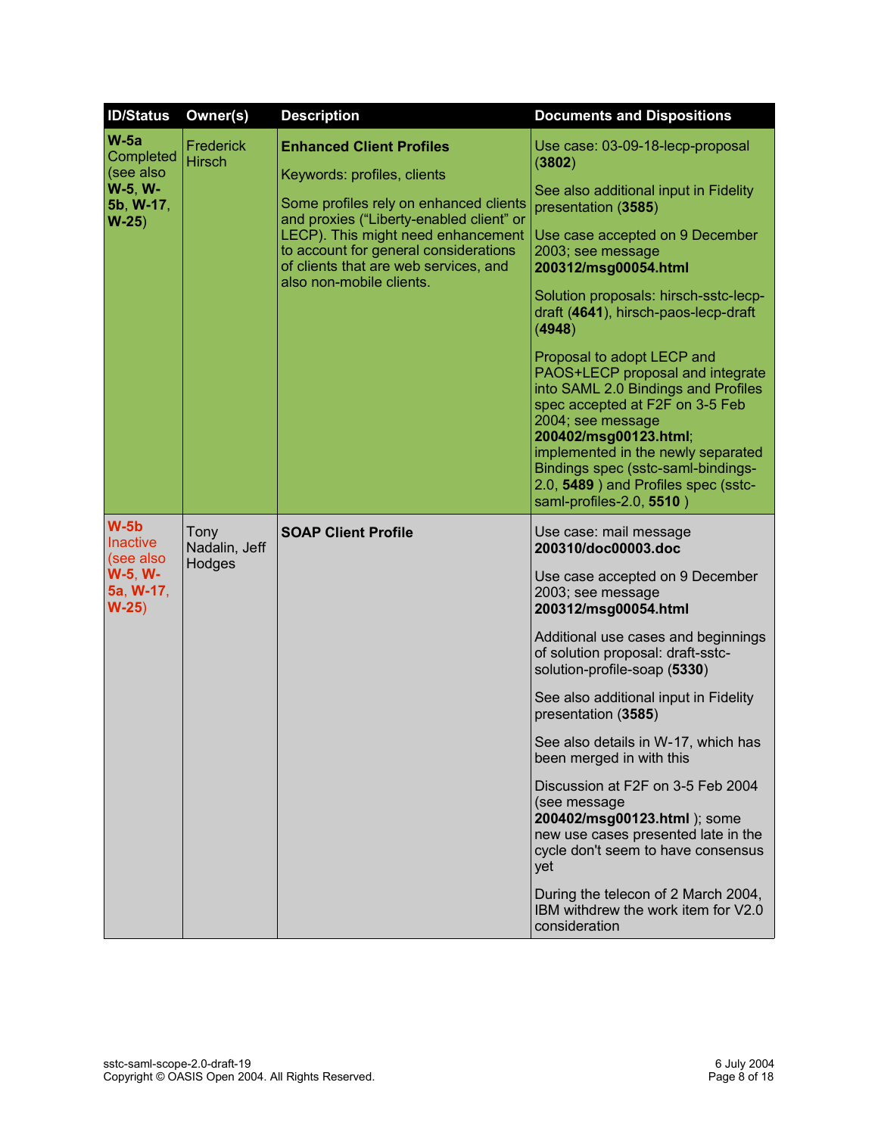| <b>ID/Status</b>                                                                | Owner(s)                        | <b>Description</b>                                                                                                                                                                                                                                                                                       | <b>Documents and Dispositions</b>                                                                                                                                                                                                                                                                                                                                                                                                                                                                                                                                                                                                                    |
|---------------------------------------------------------------------------------|---------------------------------|----------------------------------------------------------------------------------------------------------------------------------------------------------------------------------------------------------------------------------------------------------------------------------------------------------|------------------------------------------------------------------------------------------------------------------------------------------------------------------------------------------------------------------------------------------------------------------------------------------------------------------------------------------------------------------------------------------------------------------------------------------------------------------------------------------------------------------------------------------------------------------------------------------------------------------------------------------------------|
| $W-5a$<br>Completed<br>(see also<br>W-5, W-<br>5b, W-17,<br>$W-25$              | Frederick<br><b>Hirsch</b>      | <b>Enhanced Client Profiles</b><br>Keywords: profiles, clients<br>Some profiles rely on enhanced clients<br>and proxies ("Liberty-enabled client" or<br>LECP). This might need enhancement<br>to account for general considerations<br>of clients that are web services, and<br>also non-mobile clients. | Use case: 03-09-18-lecp-proposal<br>(3802)<br>See also additional input in Fidelity<br>presentation (3585)<br>Use case accepted on 9 December<br>2003; see message<br>200312/msg00054.html<br>Solution proposals: hirsch-sstc-lecp-<br>draft (4641), hirsch-paos-lecp-draft<br>(4948)<br>Proposal to adopt LECP and<br>PAOS+LECP proposal and integrate<br>into SAML 2.0 Bindings and Profiles<br>spec accepted at F2F on 3-5 Feb<br>2004; see message<br>200402/msg00123.html;<br>implemented in the newly separated<br>Bindings spec (sstc-saml-bindings-<br>2.0, 5489) and Profiles spec (sstc-<br>saml-profiles-2.0, 5510)                       |
| $W-5b$<br><b>Inactive</b><br>(see also<br><b>W-5, W-</b><br>5a, W-17,<br>$W-25$ | Tony<br>Nadalin, Jeff<br>Hodges | <b>SOAP Client Profile</b>                                                                                                                                                                                                                                                                               | Use case: mail message<br>200310/doc00003.doc<br>Use case accepted on 9 December<br>2003; see message<br>200312/msg00054.html<br>Additional use cases and beginnings<br>of solution proposal: draft-sstc-<br>solution-profile-soap (5330)<br>See also additional input in Fidelity<br>presentation (3585)<br>See also details in W-17, which has<br>been merged in with this<br>Discussion at F2F on 3-5 Feb 2004<br>(see message<br>200402/msg00123.html ); some<br>new use cases presented late in the<br>cycle don't seem to have consensus<br>yet<br>During the telecon of 2 March 2004,<br>IBM withdrew the work item for V2.0<br>consideration |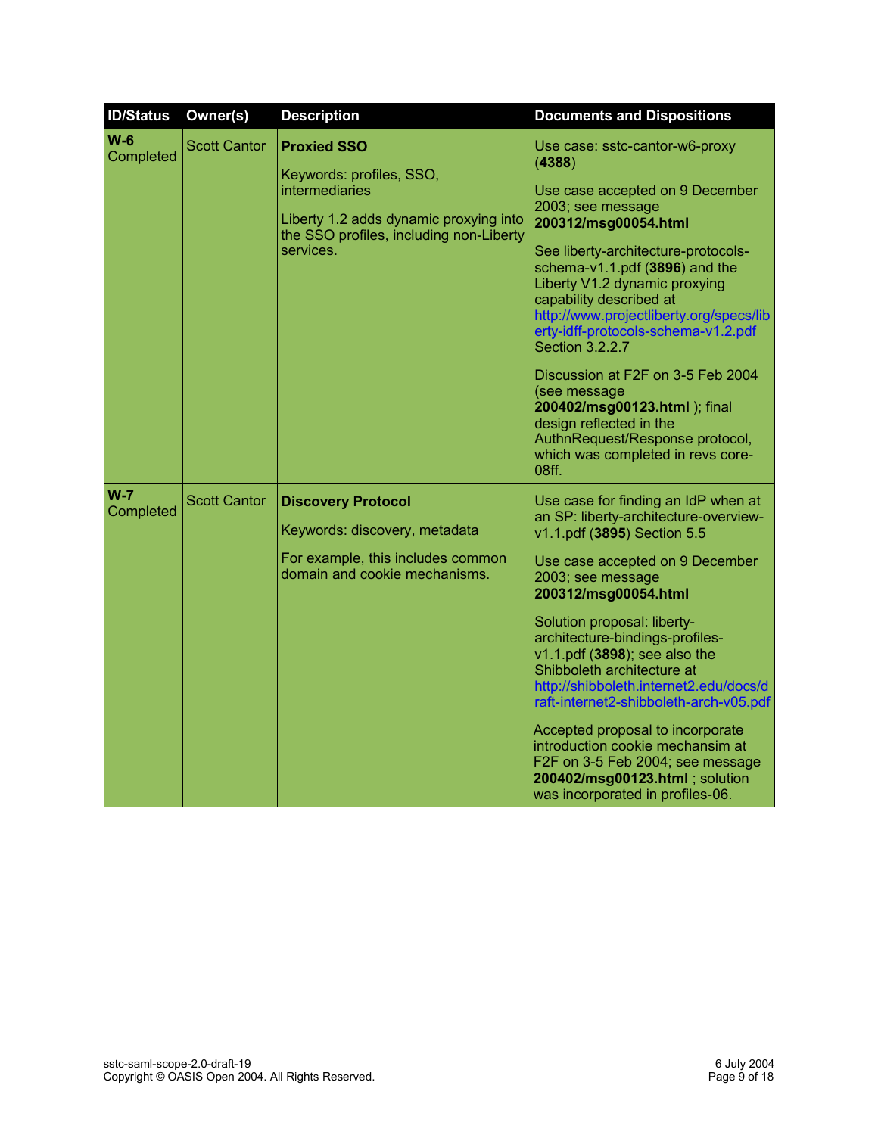| <b>ID/Status</b>     | Owner(s)            | <b>Description</b>                                                                                                                                                        | <b>Documents and Dispositions</b>                                                                                                                                                                                                                                                                                                                                                                                                                                                                                                                                                                   |
|----------------------|---------------------|---------------------------------------------------------------------------------------------------------------------------------------------------------------------------|-----------------------------------------------------------------------------------------------------------------------------------------------------------------------------------------------------------------------------------------------------------------------------------------------------------------------------------------------------------------------------------------------------------------------------------------------------------------------------------------------------------------------------------------------------------------------------------------------------|
| $W-6$<br>Completed   | <b>Scott Cantor</b> | <b>Proxied SSO</b><br>Keywords: profiles, SSO,<br><b>intermediaries</b><br>Liberty 1.2 adds dynamic proxying into<br>the SSO profiles, including non-Liberty<br>services. | Use case: sstc-cantor-w6-proxy<br>(4388)<br>Use case accepted on 9 December<br>2003; see message<br>200312/msg00054.html<br>See liberty-architecture-protocols-<br>schema-v1.1.pdf (3896) and the<br>Liberty V1.2 dynamic proxying<br>capability described at<br>http://www.projectliberty.org/specs/lib<br>erty-idff-protocols-schema-v1.2.pdf<br>Section 3.2.2.7<br>Discussion at F2F on 3-5 Feb 2004<br>(see message<br>200402/msg00123.html ); final<br>design reflected in the<br>AuthnRequest/Response protocol,<br>which was completed in revs core-<br>08ff.                                |
| $W - 7$<br>Completed | <b>Scott Cantor</b> | <b>Discovery Protocol</b><br>Keywords: discovery, metadata<br>For example, this includes common<br>domain and cookie mechanisms.                                          | Use case for finding an IdP when at<br>an SP: liberty-architecture-overview-<br>v1.1.pdf (3895) Section 5.5<br>Use case accepted on 9 December<br>2003; see message<br>200312/msg00054.html<br>Solution proposal: liberty-<br>architecture-bindings-profiles-<br>v1.1.pdf (3898); see also the<br>Shibboleth architecture at<br>http://shibboleth.internet2.edu/docs/d<br>raft-internet2-shibboleth-arch-v05.pdf<br>Accepted proposal to incorporate<br>introduction cookie mechansim at<br>F2F on 3-5 Feb 2004; see message<br>200402/msg00123.html ; solution<br>was incorporated in profiles-06. |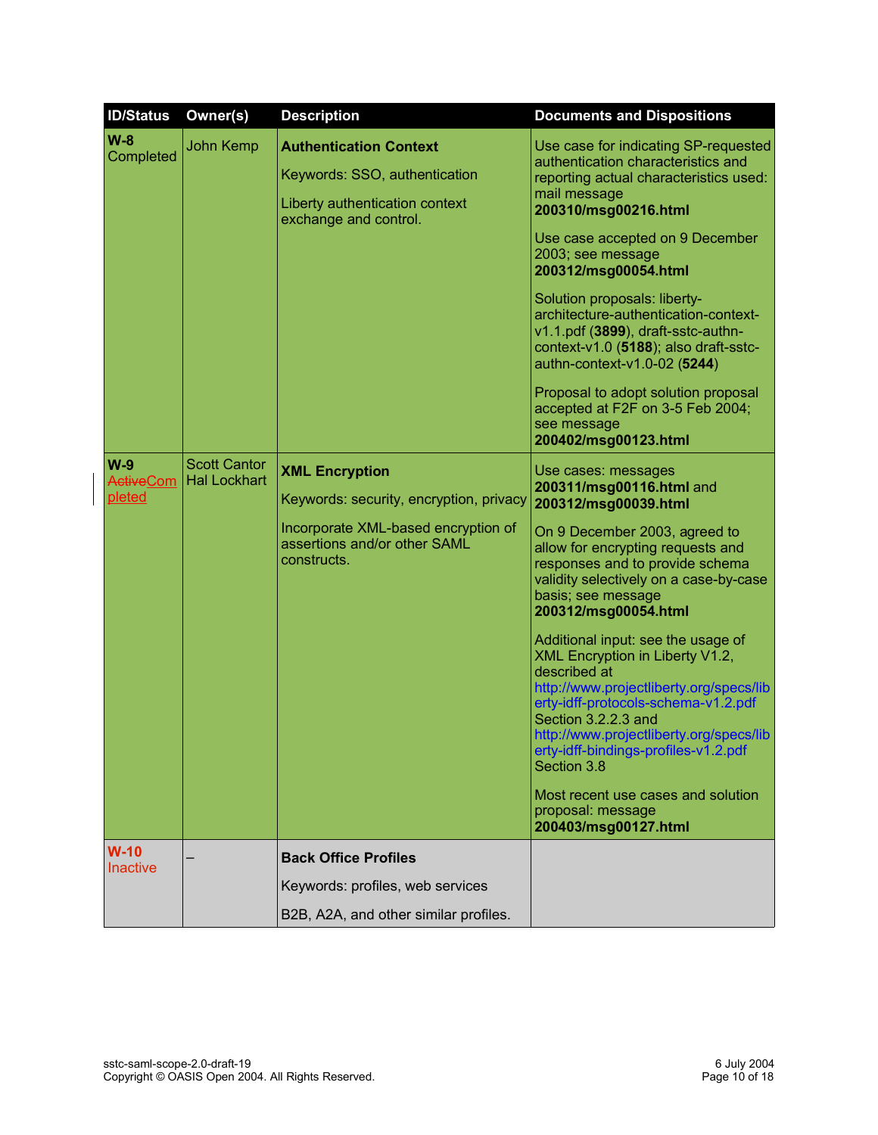| <b>ID/Status</b>                    | Owner(s)                                   | <b>Description</b>                                                                                                                                     | <b>Documents and Dispositions</b>                                                                                                                                                                                                                                                                                                                                                                                                                                                                                                                                                                                                                               |
|-------------------------------------|--------------------------------------------|--------------------------------------------------------------------------------------------------------------------------------------------------------|-----------------------------------------------------------------------------------------------------------------------------------------------------------------------------------------------------------------------------------------------------------------------------------------------------------------------------------------------------------------------------------------------------------------------------------------------------------------------------------------------------------------------------------------------------------------------------------------------------------------------------------------------------------------|
| $W-8$<br>Completed                  | John Kemp                                  | <b>Authentication Context</b><br>Keywords: SSO, authentication<br>Liberty authentication context<br>exchange and control.                              | Use case for indicating SP-requested<br>authentication characteristics and<br>reporting actual characteristics used:<br>mail message<br>200310/msg00216.html<br>Use case accepted on 9 December<br>2003; see message<br>200312/msg00054.html<br>Solution proposals: liberty-<br>architecture-authentication-context-<br>v1.1.pdf (3899), draft-sstc-authn-<br>context-v1.0 (5188); also draft-sstc-<br>authn-context-v1.0-02 (5244)<br>Proposal to adopt solution proposal<br>accepted at F2F on 3-5 Feb 2004;<br>see message<br>200402/msg00123.html                                                                                                           |
| $W-9$<br><b>ActiveCom</b><br>pleted | <b>Scott Cantor</b><br><b>Hal Lockhart</b> | <b>XML Encryption</b><br>Keywords: security, encryption, privacy<br>Incorporate XML-based encryption of<br>assertions and/or other SAML<br>constructs. | Use cases: messages<br>200311/msg00116.html and<br>200312/msg00039.html<br>On 9 December 2003, agreed to<br>allow for encrypting requests and<br>responses and to provide schema<br>validity selectively on a case-by-case<br>basis; see message<br>200312/msg00054.html<br>Additional input: see the usage of<br>XML Encryption in Liberty V1.2,<br>described at<br>http://www.projectliberty.org/specs/lib<br>erty-idff-protocols-schema-v1.2.pdf<br>Section 3.2.2.3 and<br>http://www.projectliberty.org/specs/lib<br>erty-idff-bindings-profiles-v1.2.pdf<br>Section 3.8<br>Most recent use cases and solution<br>proposal: message<br>200403/msg00127.html |
| $W-10$                              |                                            | <b>Back Office Profiles</b>                                                                                                                            |                                                                                                                                                                                                                                                                                                                                                                                                                                                                                                                                                                                                                                                                 |
| <b>Inactive</b>                     |                                            | Keywords: profiles, web services                                                                                                                       |                                                                                                                                                                                                                                                                                                                                                                                                                                                                                                                                                                                                                                                                 |
|                                     |                                            | B2B, A2A, and other similar profiles.                                                                                                                  |                                                                                                                                                                                                                                                                                                                                                                                                                                                                                                                                                                                                                                                                 |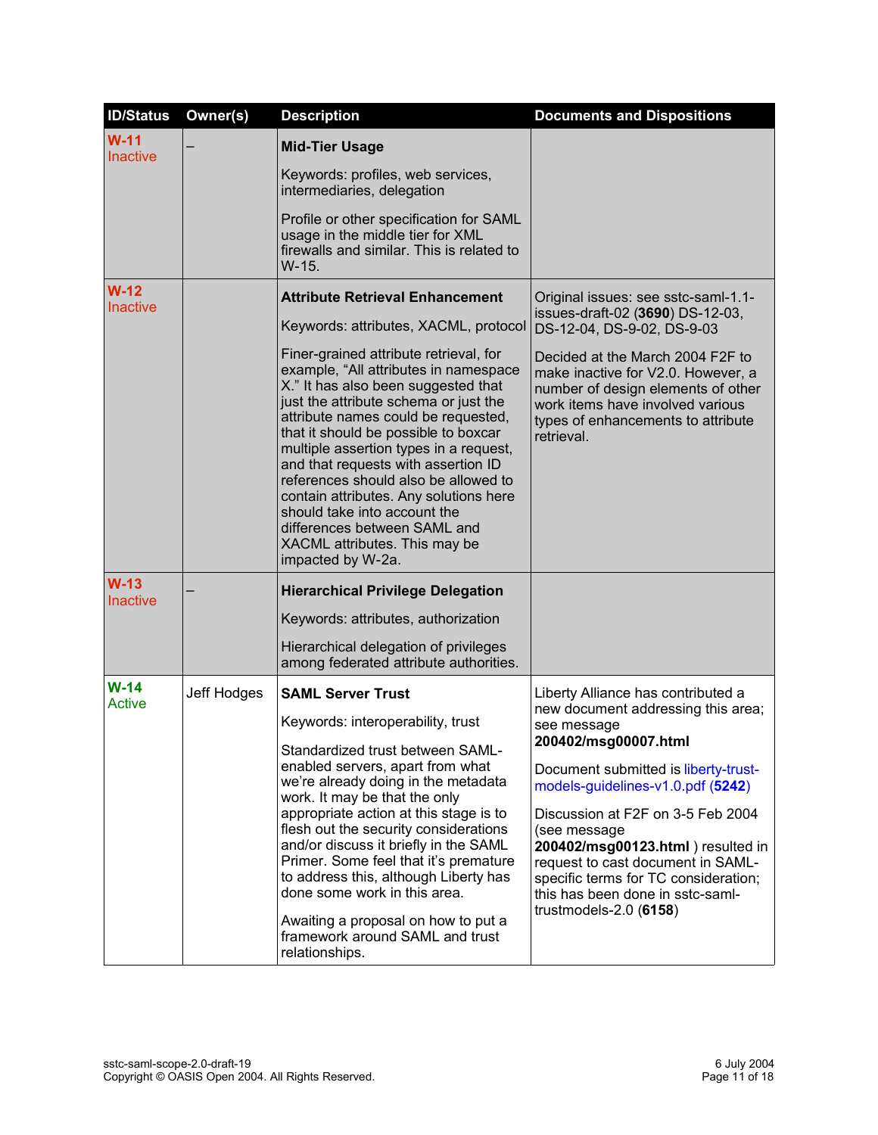| <b>ID/Status</b>          | Owner(s)    | <b>Description</b>                                                                                                                                                                                                                                                                                                                                                                                                                                   | <b>Documents and Dispositions</b>                                                                                                                                                               |
|---------------------------|-------------|------------------------------------------------------------------------------------------------------------------------------------------------------------------------------------------------------------------------------------------------------------------------------------------------------------------------------------------------------------------------------------------------------------------------------------------------------|-------------------------------------------------------------------------------------------------------------------------------------------------------------------------------------------------|
| $W-11$<br><b>Inactive</b> |             | <b>Mid-Tier Usage</b>                                                                                                                                                                                                                                                                                                                                                                                                                                |                                                                                                                                                                                                 |
|                           |             | Keywords: profiles, web services,<br>intermediaries, delegation                                                                                                                                                                                                                                                                                                                                                                                      |                                                                                                                                                                                                 |
|                           |             | Profile or other specification for SAML<br>usage in the middle tier for XML<br>firewalls and similar. This is related to<br>W-15.                                                                                                                                                                                                                                                                                                                    |                                                                                                                                                                                                 |
| $W-12$<br><b>Inactive</b> |             | <b>Attribute Retrieval Enhancement</b><br>Keywords: attributes, XACML, protocol<br>Finer-grained attribute retrieval, for<br>example, "All attributes in namespace                                                                                                                                                                                                                                                                                   | Original issues: see sstc-saml-1.1-<br>issues-draft-02 (3690) DS-12-03,<br>DS-12-04, DS-9-02, DS-9-03<br>Decided at the March 2004 F2F to<br>make inactive for V2.0. However, a                 |
|                           |             | X." It has also been suggested that<br>just the attribute schema or just the<br>attribute names could be requested,<br>that it should be possible to boxcar<br>multiple assertion types in a request,<br>and that requests with assertion ID<br>references should also be allowed to<br>contain attributes. Any solutions here<br>should take into account the<br>differences between SAML and<br>XACML attributes. This may be<br>impacted by W-2a. | number of design elements of other<br>work items have involved various<br>types of enhancements to attribute<br>retrieval.                                                                      |
| $W-13$<br><b>Inactive</b> |             | <b>Hierarchical Privilege Delegation</b>                                                                                                                                                                                                                                                                                                                                                                                                             |                                                                                                                                                                                                 |
|                           |             | Keywords: attributes, authorization                                                                                                                                                                                                                                                                                                                                                                                                                  |                                                                                                                                                                                                 |
|                           |             | Hierarchical delegation of privileges<br>among federated attribute authorities.                                                                                                                                                                                                                                                                                                                                                                      |                                                                                                                                                                                                 |
| $W-14$<br><b>Active</b>   | Jeff Hodges | <b>SAML Server Trust</b>                                                                                                                                                                                                                                                                                                                                                                                                                             | Liberty Alliance has contributed a                                                                                                                                                              |
|                           |             | Keywords: interoperability, trust                                                                                                                                                                                                                                                                                                                                                                                                                    | new document addressing this area;<br>see message                                                                                                                                               |
|                           |             | Standardized trust between SAML-<br>enabled servers, apart from what<br>we're already doing in the metadata<br>work. It may be that the only<br>appropriate action at this stage is to                                                                                                                                                                                                                                                               | 200402/msg00007.html<br>Document submitted is liberty-trust-<br>models-guidelines-v1.0.pdf (5242)<br>Discussion at F2F on 3-5 Feb 2004                                                          |
|                           |             | flesh out the security considerations<br>and/or discuss it briefly in the SAML<br>Primer. Some feel that it's premature<br>to address this, although Liberty has<br>done some work in this area.                                                                                                                                                                                                                                                     | (see message<br>200402/msg00123.html) resulted in<br>request to cast document in SAML-<br>specific terms for TC consideration;<br>this has been done in sstc-saml-<br>trustmodels- $2.0$ (6158) |
|                           |             | Awaiting a proposal on how to put a<br>framework around SAML and trust<br>relationships.                                                                                                                                                                                                                                                                                                                                                             |                                                                                                                                                                                                 |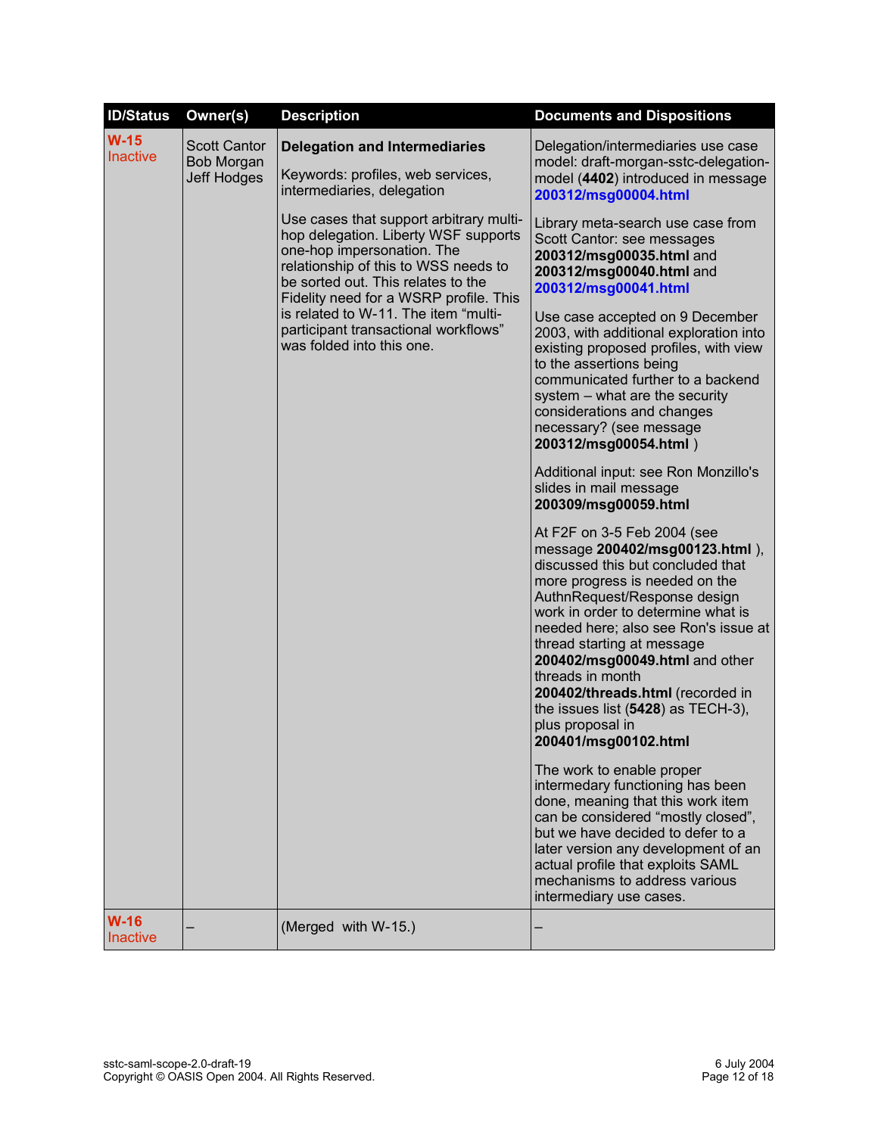| <b>ID/Status</b>          | Owner(s)                                                | <b>Description</b>                                                                                                                                                                                                                                                                                                                                 | <b>Documents and Dispositions</b>                                                                                                                                                                                                                                                                                                                                                                                                                              |
|---------------------------|---------------------------------------------------------|----------------------------------------------------------------------------------------------------------------------------------------------------------------------------------------------------------------------------------------------------------------------------------------------------------------------------------------------------|----------------------------------------------------------------------------------------------------------------------------------------------------------------------------------------------------------------------------------------------------------------------------------------------------------------------------------------------------------------------------------------------------------------------------------------------------------------|
| $W-15$<br><b>Inactive</b> | <b>Scott Cantor</b><br>Bob Morgan<br><b>Jeff Hodges</b> | <b>Delegation and Intermediaries</b><br>Keywords: profiles, web services,<br>intermediaries, delegation                                                                                                                                                                                                                                            | Delegation/intermediaries use case<br>model: draft-morgan-sstc-delegation-<br>model (4402) introduced in message<br>200312/msg00004.html                                                                                                                                                                                                                                                                                                                       |
|                           |                                                         | Use cases that support arbitrary multi-<br>hop delegation. Liberty WSF supports<br>one-hop impersonation. The<br>relationship of this to WSS needs to<br>be sorted out. This relates to the<br>Fidelity need for a WSRP profile. This<br>is related to W-11. The item "multi-<br>participant transactional workflows"<br>was folded into this one. | Library meta-search use case from<br>Scott Cantor: see messages<br>200312/msg00035.html and<br>200312/msg00040.html and<br>200312/msg00041.html<br>Use case accepted on 9 December<br>2003, with additional exploration into<br>existing proposed profiles, with view<br>to the assertions being<br>communicated further to a backend<br>system - what are the security<br>considerations and changes<br>necessary? (see message<br>200312/msg00054.html)      |
|                           |                                                         |                                                                                                                                                                                                                                                                                                                                                    | Additional input: see Ron Monzillo's<br>slides in mail message<br>200309/msg00059.html                                                                                                                                                                                                                                                                                                                                                                         |
|                           |                                                         |                                                                                                                                                                                                                                                                                                                                                    | At F2F on 3-5 Feb 2004 (see<br>message 200402/msg00123.html),<br>discussed this but concluded that<br>more progress is needed on the<br>AuthnRequest/Response design<br>work in order to determine what is<br>needed here; also see Ron's issue at<br>thread starting at message<br>200402/msg00049.html and other<br>threads in month<br>200402/threads.html (recorded in<br>the issues list $(5428)$ as TECH-3),<br>plus proposal in<br>200401/msg00102.html |
|                           |                                                         |                                                                                                                                                                                                                                                                                                                                                    | The work to enable proper<br>intermedary functioning has been<br>done, meaning that this work item<br>can be considered "mostly closed",<br>but we have decided to defer to a<br>later version any development of an<br>actual profile that exploits SAML<br>mechanisms to address various<br>intermediary use cases.                                                                                                                                          |
| $W-16$<br>Inactive        |                                                         | (Merged with W-15.)                                                                                                                                                                                                                                                                                                                                |                                                                                                                                                                                                                                                                                                                                                                                                                                                                |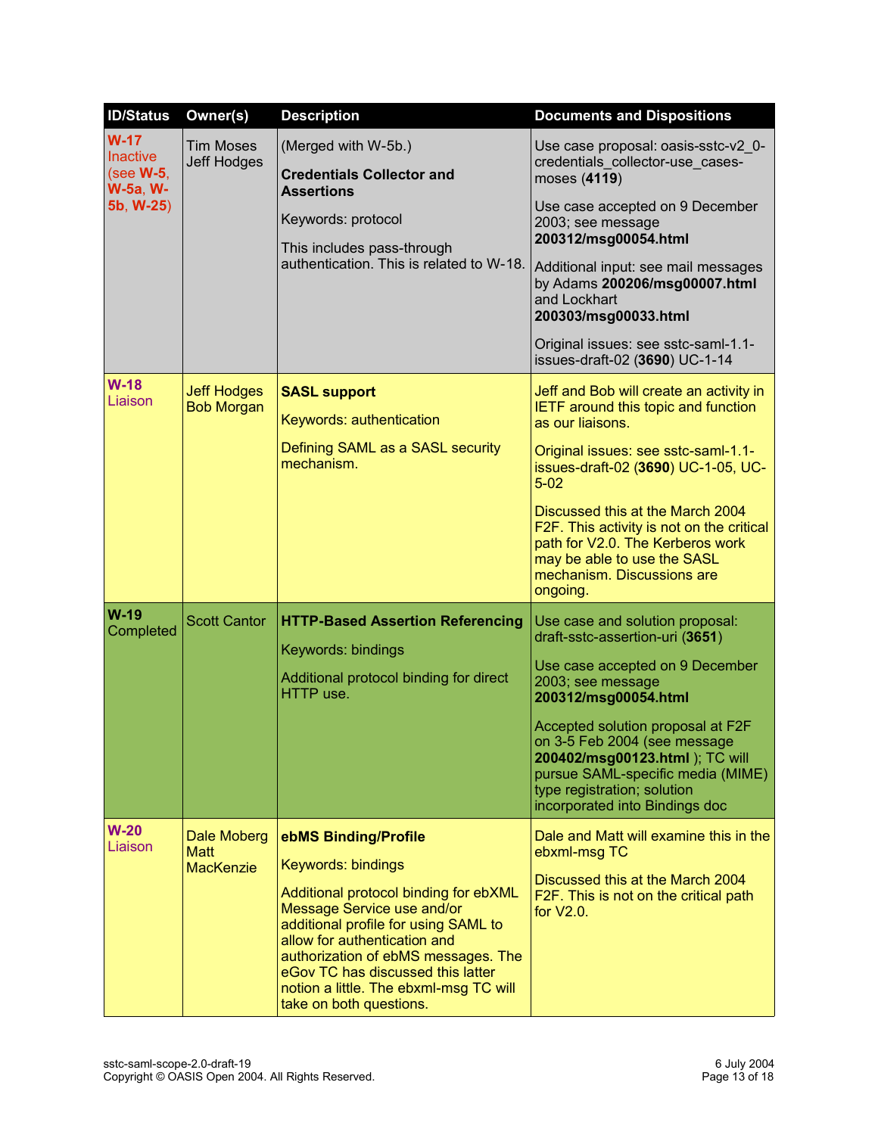| <b>ID/Status</b>                                                               | Owner(s)                                       | <b>Description</b>                                                                                                                                                                                                                                                                                                                         | <b>Documents and Dispositions</b>                                                                                                                                                                                                                                                                                                                                                                 |
|--------------------------------------------------------------------------------|------------------------------------------------|--------------------------------------------------------------------------------------------------------------------------------------------------------------------------------------------------------------------------------------------------------------------------------------------------------------------------------------------|---------------------------------------------------------------------------------------------------------------------------------------------------------------------------------------------------------------------------------------------------------------------------------------------------------------------------------------------------------------------------------------------------|
| $W-17$<br><b>Inactive</b><br>(see <b>W-5</b> ,<br><b>W-5a, W-</b><br>5b, W-25) | <b>Tim Moses</b><br><b>Jeff Hodges</b>         | (Merged with W-5b.)<br><b>Credentials Collector and</b><br><b>Assertions</b><br>Keywords: protocol<br>This includes pass-through<br>authentication. This is related to W-18.                                                                                                                                                               | Use case proposal: oasis-sstc-v2 0-<br>credentials_collector-use_cases-<br>moses (4119)<br>Use case accepted on 9 December<br>2003; see message<br>200312/msg00054.html<br>Additional input: see mail messages<br>by Adams 200206/msg00007.html<br>and Lockhart<br>200303/msg00033.html<br>Original issues: see sstc-saml-1.1-<br>issues-draft-02 (3690) UC-1-14                                  |
| $W-18$<br>Liaison                                                              | <b>Jeff Hodges</b><br><b>Bob Morgan</b>        | <b>SASL support</b><br>Keywords: authentication<br>Defining SAML as a SASL security<br>mechanism.                                                                                                                                                                                                                                          | Jeff and Bob will create an activity in<br><b>IETF</b> around this topic and function<br>as our liaisons.<br>Original issues: see sstc-saml-1.1-<br>issues-draft-02 (3690) UC-1-05, UC-<br>$5 - 02$<br>Discussed this at the March 2004<br>F2F. This activity is not on the critical<br>path for V2.0. The Kerberos work<br>may be able to use the SASL<br>mechanism. Discussions are<br>ongoing. |
| $W-19$<br>Completed                                                            | <b>Scott Cantor</b>                            | <b>HTTP-Based Assertion Referencing</b><br>Keywords: bindings<br>Additional protocol binding for direct<br>HTTP use.                                                                                                                                                                                                                       | Use case and solution proposal:<br>draft-sstc-assertion-uri (3651)<br>Use case accepted on 9 December<br>2003; see message<br>200312/msg00054.html<br>Accepted solution proposal at F2F<br>on 3-5 Feb 2004 (see message<br>200402/msg00123.html ); TC will<br>pursue SAML-specific media (MIME)<br>type registration; solution<br>incorporated into Bindings doc                                  |
| $W-20$<br>Liaison                                                              | Dale Moberg<br><b>Matt</b><br><b>MacKenzie</b> | ebMS Binding/Profile<br>Keywords: bindings<br>Additional protocol binding for ebXML<br>Message Service use and/or<br>additional profile for using SAML to<br>allow for authentication and<br>authorization of ebMS messages. The<br>eGov TC has discussed this latter<br>notion a little. The ebxml-msg TC will<br>take on both questions. | Dale and Matt will examine this in the<br>ebxml-msg TC<br>Discussed this at the March 2004<br>F2F. This is not on the critical path<br>for V2.0.                                                                                                                                                                                                                                                  |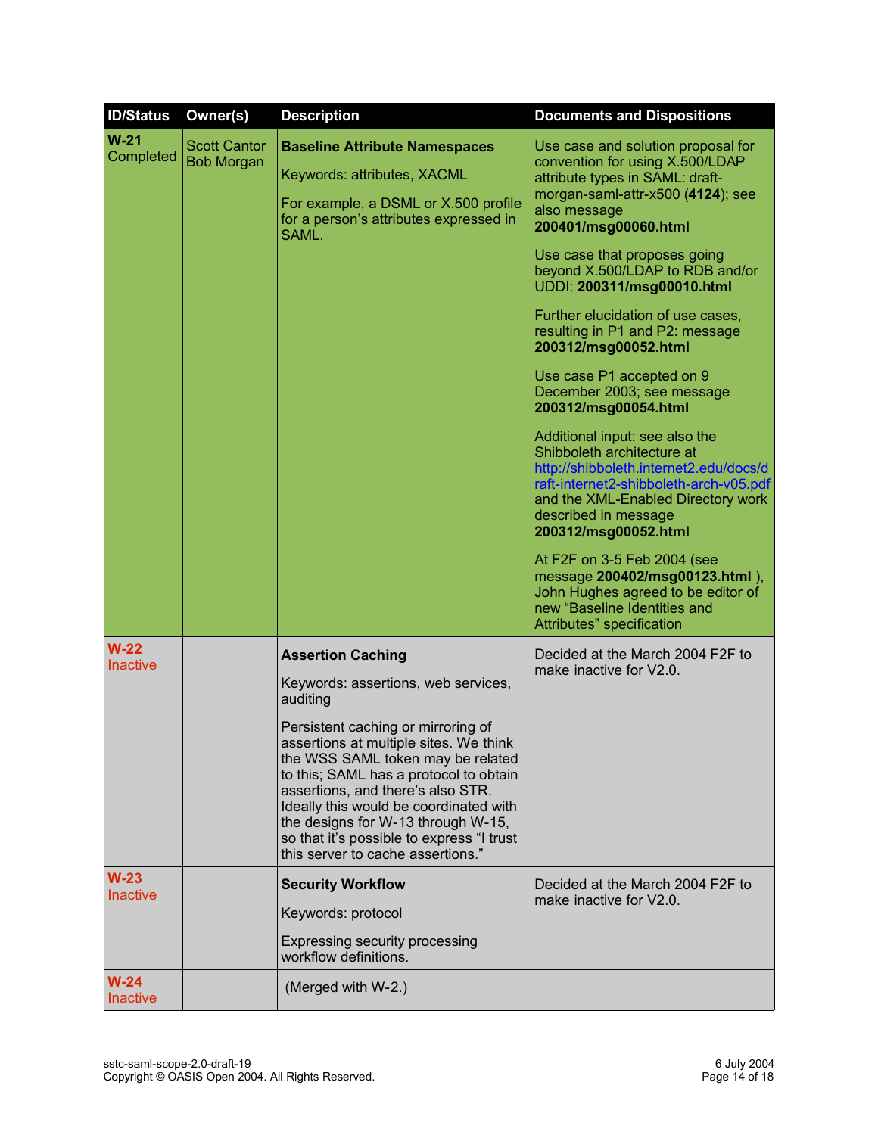| <b>ID/Status</b>          | Owner(s)                                 | <b>Description</b>                                                                                                                                                                                                                                                                                                                                                                                                                                | <b>Documents and Dispositions</b>                                                                                                                                                                                                                                                                                                                                                                                                                                                                                                                                                                                                                                                                                                                                                                                                                                                       |
|---------------------------|------------------------------------------|---------------------------------------------------------------------------------------------------------------------------------------------------------------------------------------------------------------------------------------------------------------------------------------------------------------------------------------------------------------------------------------------------------------------------------------------------|-----------------------------------------------------------------------------------------------------------------------------------------------------------------------------------------------------------------------------------------------------------------------------------------------------------------------------------------------------------------------------------------------------------------------------------------------------------------------------------------------------------------------------------------------------------------------------------------------------------------------------------------------------------------------------------------------------------------------------------------------------------------------------------------------------------------------------------------------------------------------------------------|
| $W-21$<br>Completed       | <b>Scott Cantor</b><br><b>Bob Morgan</b> | <b>Baseline Attribute Namespaces</b><br>Keywords: attributes, XACML<br>For example, a DSML or X.500 profile<br>for a person's attributes expressed in<br>SAML.                                                                                                                                                                                                                                                                                    | Use case and solution proposal for<br>convention for using X.500/LDAP<br>attribute types in SAML: draft-<br>morgan-saml-attr-x500 (4124); see<br>also message<br>200401/msg00060.html<br>Use case that proposes going<br>beyond X.500/LDAP to RDB and/or<br>UDDI: 200311/msg00010.html<br>Further elucidation of use cases,<br>resulting in P1 and P2: message<br>200312/msg00052.html<br>Use case P1 accepted on 9<br>December 2003; see message<br>200312/msg00054.html<br>Additional input: see also the<br>Shibboleth architecture at<br>http://shibboleth.internet2.edu/docs/d<br>raft-internet2-shibboleth-arch-v05.pdf<br>and the XML-Enabled Directory work<br>described in message<br>200312/msg00052.html<br>At F2F on 3-5 Feb 2004 (see<br>message 200402/msg00123.html),<br>John Hughes agreed to be editor of<br>new "Baseline Identities and<br>Attributes" specification |
| $W-22$<br><b>Inactive</b> |                                          | <b>Assertion Caching</b><br>Keywords: assertions, web services,<br>auditing<br>Persistent caching or mirroring of<br>assertions at multiple sites. We think<br>the WSS SAML token may be related<br>to this; SAML has a protocol to obtain<br>assertions, and there's also STR.<br>Ideally this would be coordinated with<br>the designs for W-13 through W-15,<br>so that it's possible to express "I trust<br>this server to cache assertions." | Decided at the March 2004 F2F to<br>make inactive for V2.0.                                                                                                                                                                                                                                                                                                                                                                                                                                                                                                                                                                                                                                                                                                                                                                                                                             |
| $W-23$<br><b>Inactive</b> |                                          | <b>Security Workflow</b><br>Keywords: protocol<br>Expressing security processing<br>workflow definitions.                                                                                                                                                                                                                                                                                                                                         | Decided at the March 2004 F2F to<br>make inactive for V2.0.                                                                                                                                                                                                                                                                                                                                                                                                                                                                                                                                                                                                                                                                                                                                                                                                                             |
| $W-24$<br><b>Inactive</b> |                                          | (Merged with W-2.)                                                                                                                                                                                                                                                                                                                                                                                                                                |                                                                                                                                                                                                                                                                                                                                                                                                                                                                                                                                                                                                                                                                                                                                                                                                                                                                                         |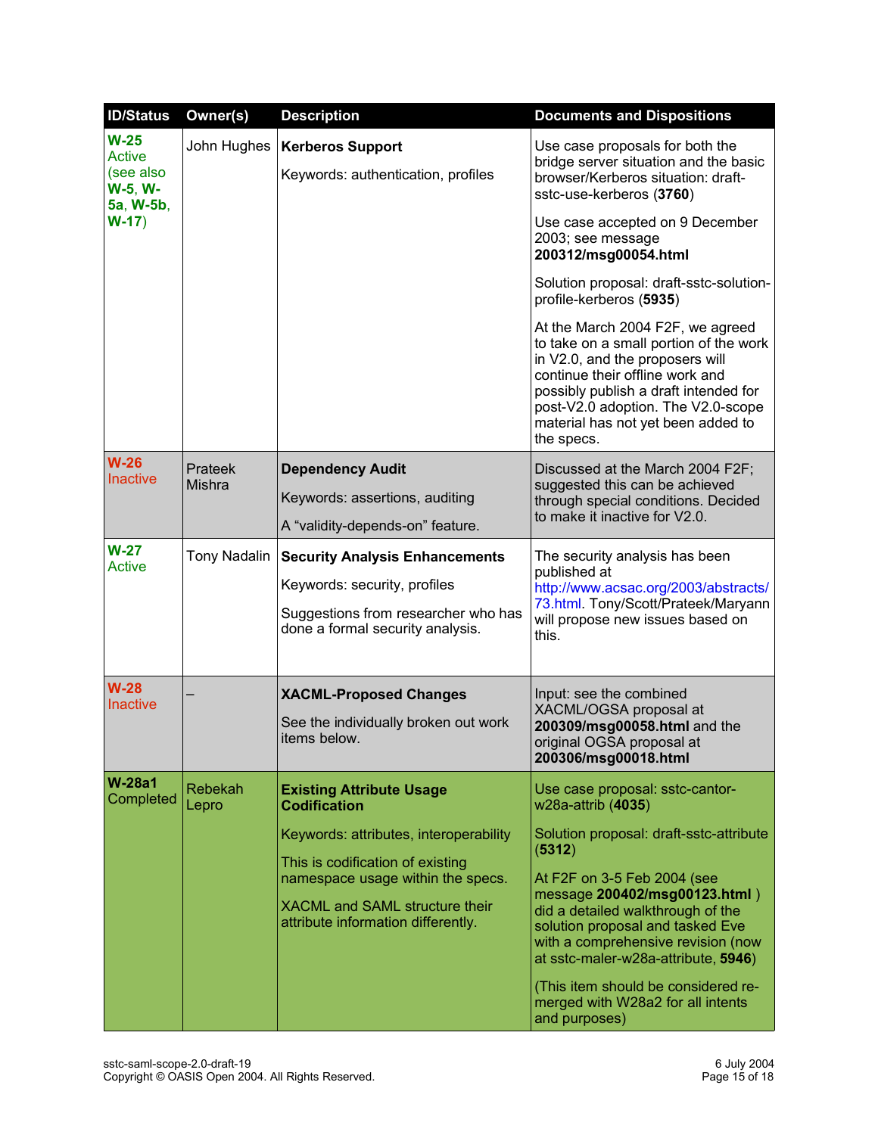| <b>ID/Status</b>                                             | Owner(s)          | <b>Description</b>                                                                                                                                                                      | <b>Documents and Dispositions</b>                                                                                                                                                                                                                                                                                                                                    |
|--------------------------------------------------------------|-------------------|-----------------------------------------------------------------------------------------------------------------------------------------------------------------------------------------|----------------------------------------------------------------------------------------------------------------------------------------------------------------------------------------------------------------------------------------------------------------------------------------------------------------------------------------------------------------------|
| $W-25$<br><b>Active</b><br>(see also<br>W-5, W-<br>5a, W-5b, | John Hughes       | <b>Kerberos Support</b><br>Keywords: authentication, profiles                                                                                                                           | Use case proposals for both the<br>bridge server situation and the basic<br>browser/Kerberos situation: draft-<br>sstc-use-kerberos (3760)                                                                                                                                                                                                                           |
| $W-17)$                                                      |                   |                                                                                                                                                                                         | Use case accepted on 9 December<br>2003; see message<br>200312/msg00054.html                                                                                                                                                                                                                                                                                         |
|                                                              |                   |                                                                                                                                                                                         | Solution proposal: draft-sstc-solution-<br>profile-kerberos (5935)                                                                                                                                                                                                                                                                                                   |
|                                                              |                   |                                                                                                                                                                                         | At the March 2004 F2F, we agreed<br>to take on a small portion of the work<br>in V2.0, and the proposers will<br>continue their offline work and<br>possibly publish a draft intended for<br>post-V2.0 adoption. The V2.0-scope<br>material has not yet been added to<br>the specs.                                                                                  |
| $W-26$<br><b>Inactive</b>                                    | Prateek<br>Mishra | <b>Dependency Audit</b><br>Keywords: assertions, auditing<br>A "validity-depends-on" feature.                                                                                           | Discussed at the March 2004 F2F;<br>suggested this can be achieved<br>through special conditions. Decided<br>to make it inactive for V2.0.                                                                                                                                                                                                                           |
| $W-27$<br><b>Active</b>                                      | Tony Nadalin      | <b>Security Analysis Enhancements</b><br>Keywords: security, profiles<br>Suggestions from researcher who has<br>done a formal security analysis.                                        | The security analysis has been<br>published at<br>http://www.acsac.org/2003/abstracts/<br>73.html. Tony/Scott/Prateek/Maryann<br>will propose new issues based on<br>this.                                                                                                                                                                                           |
| $W-28$<br><b>Inactive</b>                                    |                   | <b>XACML-Proposed Changes</b><br>See the individually broken out work<br>items below.                                                                                                   | Input: see the combined<br>XACML/OGSA proposal at<br>200309/msg00058.html and the<br>original OGSA proposal at<br>200306/msg00018.html                                                                                                                                                                                                                               |
| <b>W-28a1</b><br>Completed                                   | Rebekah<br>Lepro  | <b>Existing Attribute Usage</b><br><b>Codification</b>                                                                                                                                  | Use case proposal: sstc-cantor-<br>w28a-attrib (4035)                                                                                                                                                                                                                                                                                                                |
|                                                              |                   | Keywords: attributes, interoperability<br>This is codification of existing<br>namespace usage within the specs.<br>XACML and SAML structure their<br>attribute information differently. | Solution proposal: draft-sstc-attribute<br>(5312)<br>At F2F on 3-5 Feb 2004 (see<br>message 200402/msg00123.html)<br>did a detailed walkthrough of the<br>solution proposal and tasked Eve<br>with a comprehensive revision (now<br>at sstc-maler-w28a-attribute, 5946)<br>(This item should be considered re-<br>merged with W28a2 for all intents<br>and purposes) |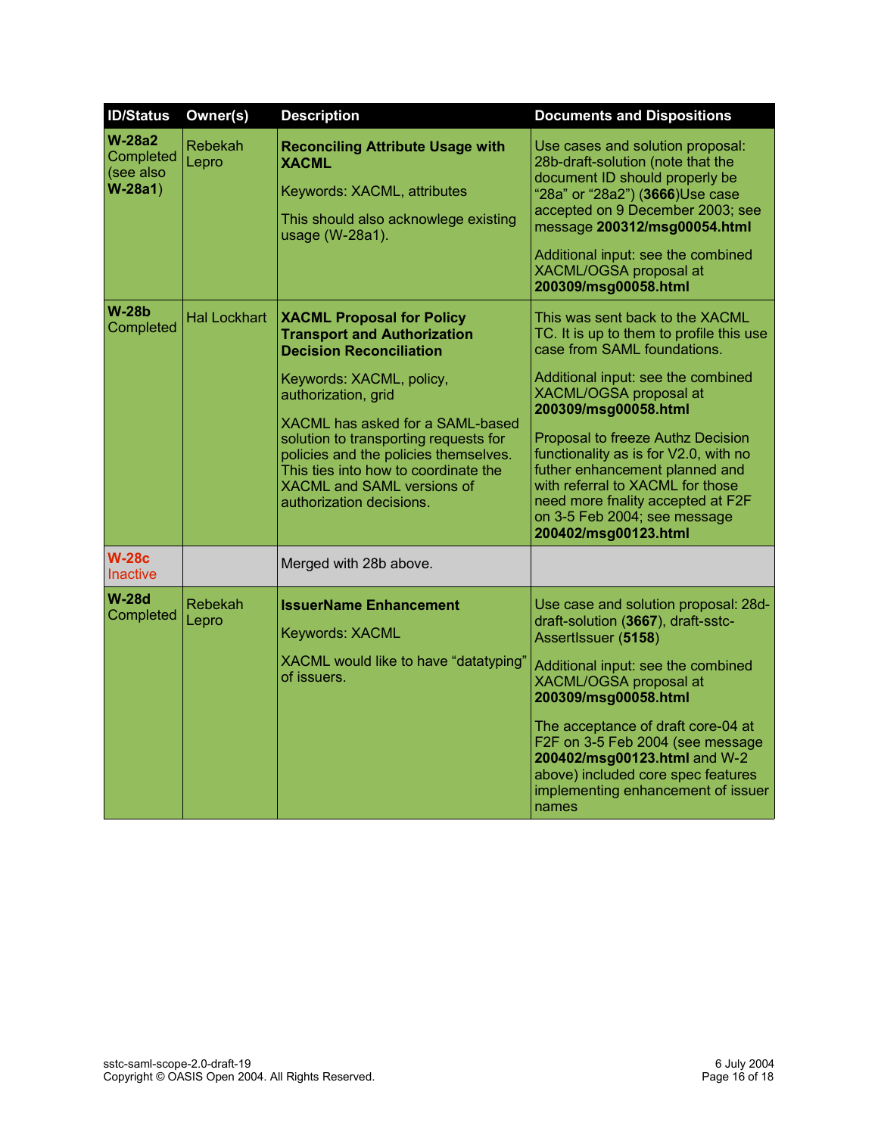| <b>ID/Status</b>                                | Owner(s)                | <b>Description</b>                                                                                                                                                                                                                                                                                                                                                                  | <b>Documents and Dispositions</b>                                                                                                                                                                                                                                                                                                                                                                                                                   |
|-------------------------------------------------|-------------------------|-------------------------------------------------------------------------------------------------------------------------------------------------------------------------------------------------------------------------------------------------------------------------------------------------------------------------------------------------------------------------------------|-----------------------------------------------------------------------------------------------------------------------------------------------------------------------------------------------------------------------------------------------------------------------------------------------------------------------------------------------------------------------------------------------------------------------------------------------------|
| $W-28a2$<br>Completed<br>(see also<br>$W-28a1)$ | Rebekah<br>Lepro        | <b>Reconciling Attribute Usage with</b><br><b>XACML</b><br>Keywords: XACML, attributes<br>This should also acknowlege existing<br>usage (W-28a1).                                                                                                                                                                                                                                   | Use cases and solution proposal:<br>28b-draft-solution (note that the<br>document ID should properly be<br>"28a" or "28a2") (3666)Use case<br>accepted on 9 December 2003; see<br>message 200312/msg00054.html<br>Additional input: see the combined<br>XACML/OGSA proposal at<br>200309/msg00058.html                                                                                                                                              |
| $W-28b$<br>Completed                            | <b>Hal Lockhart</b>     | <b>XACML Proposal for Policy</b><br><b>Transport and Authorization</b><br><b>Decision Reconciliation</b><br>Keywords: XACML, policy,<br>authorization, grid<br>XACML has asked for a SAML-based<br>solution to transporting requests for<br>policies and the policies themselves.<br>This ties into how to coordinate the<br>XACML and SAML versions of<br>authorization decisions. | This was sent back to the XACML<br>TC. It is up to them to profile this use<br>case from SAML foundations.<br>Additional input: see the combined<br>XACML/OGSA proposal at<br>200309/msg00058.html<br>Proposal to freeze Authz Decision<br>functionality as is for V2.0, with no<br>futher enhancement planned and<br>with referral to XACML for those<br>need more fnality accepted at F2F<br>on 3-5 Feb 2004; see message<br>200402/msg00123.html |
| <b>W-28c</b><br><b>Inactive</b>                 |                         | Merged with 28b above.                                                                                                                                                                                                                                                                                                                                                              |                                                                                                                                                                                                                                                                                                                                                                                                                                                     |
| <b>W-28d</b><br>Completed                       | <b>Rebekah</b><br>Lepro | <b>IssuerName Enhancement</b><br>Keywords: XACML<br>XACML would like to have "datatyping"<br>of issuers.                                                                                                                                                                                                                                                                            | Use case and solution proposal: 28d-<br>draft-solution (3667), draft-sstc-<br>AssertIssuer (5158)<br>Additional input: see the combined<br>XACML/OGSA proposal at<br>200309/msg00058.html<br>The acceptance of draft core-04 at<br>F2F on 3-5 Feb 2004 (see message<br>200402/msg00123.html and W-2<br>above) included core spec features<br>implementing enhancement of issuer<br>names                                                            |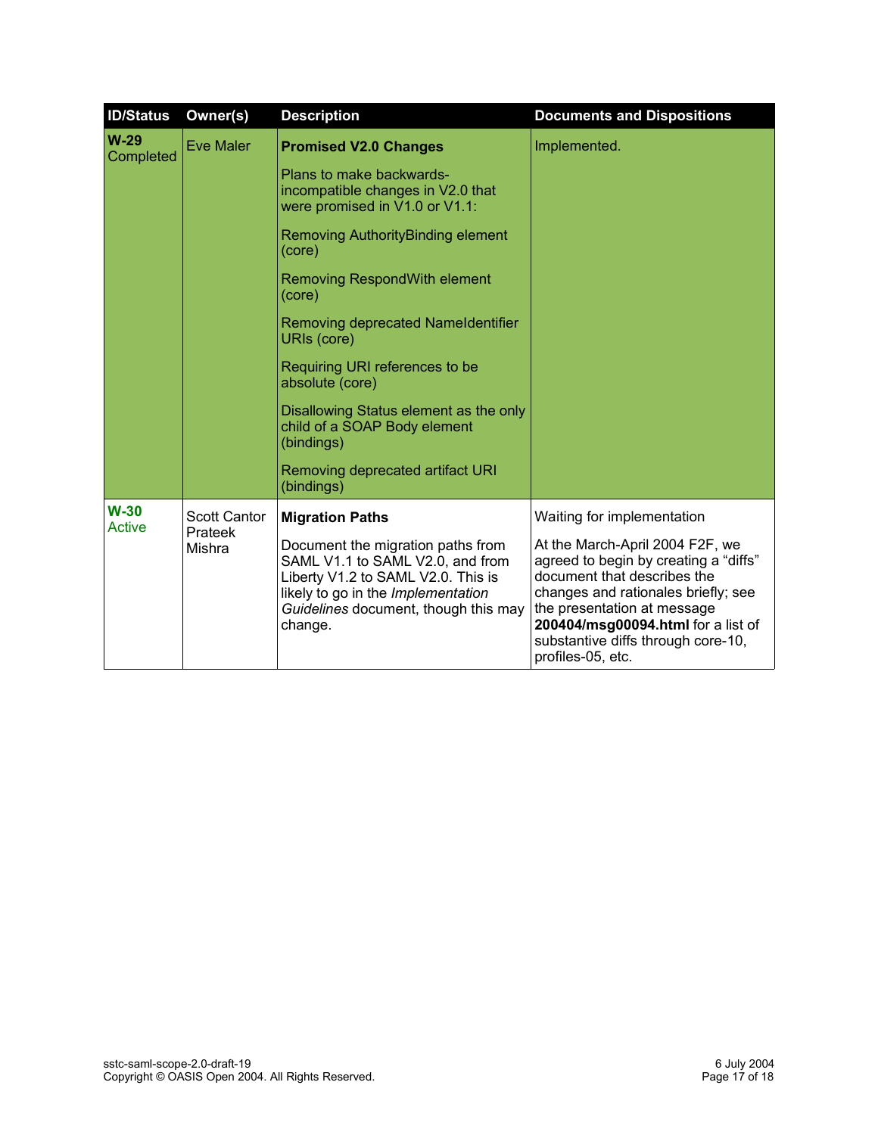| <b>ID/Status</b>    | Owner(s)                                 | <b>Description</b>                                                                                                                                                                                   | <b>Documents and Dispositions</b>                                                                                                                                                                                                                                              |
|---------------------|------------------------------------------|------------------------------------------------------------------------------------------------------------------------------------------------------------------------------------------------------|--------------------------------------------------------------------------------------------------------------------------------------------------------------------------------------------------------------------------------------------------------------------------------|
| $W-29$<br>Completed | <b>Eve Maler</b>                         | <b>Promised V2.0 Changes</b>                                                                                                                                                                         | Implemented.                                                                                                                                                                                                                                                                   |
|                     |                                          | Plans to make backwards-<br>incompatible changes in V2.0 that<br>were promised in V1.0 or V1.1:                                                                                                      |                                                                                                                                                                                                                                                                                |
|                     |                                          | <b>Removing AuthorityBinding element</b><br>(core)                                                                                                                                                   |                                                                                                                                                                                                                                                                                |
|                     |                                          | <b>Removing RespondWith element</b><br>(core)                                                                                                                                                        |                                                                                                                                                                                                                                                                                |
|                     |                                          | Removing deprecated Nameldentifier<br>URIs (core)                                                                                                                                                    |                                                                                                                                                                                                                                                                                |
|                     |                                          | Requiring URI references to be<br>absolute (core)                                                                                                                                                    |                                                                                                                                                                                                                                                                                |
|                     |                                          | Disallowing Status element as the only<br>child of a SOAP Body element<br>(bindings)                                                                                                                 |                                                                                                                                                                                                                                                                                |
|                     |                                          | Removing deprecated artifact URI<br>(bindings)                                                                                                                                                       |                                                                                                                                                                                                                                                                                |
| $W-30$<br>Active    | <b>Scott Cantor</b><br>Prateek<br>Mishra | <b>Migration Paths</b>                                                                                                                                                                               | Waiting for implementation                                                                                                                                                                                                                                                     |
|                     |                                          | Document the migration paths from<br>SAML V1.1 to SAML V2.0, and from<br>Liberty V1.2 to SAML V2.0. This is<br>likely to go in the Implementation<br>Guidelines document, though this may<br>change. | At the March-April 2004 F2F, we<br>agreed to begin by creating a "diffs"<br>document that describes the<br>changes and rationales briefly; see<br>the presentation at message<br>200404/msg00094.html for a list of<br>substantive diffs through core-10,<br>profiles-05, etc. |